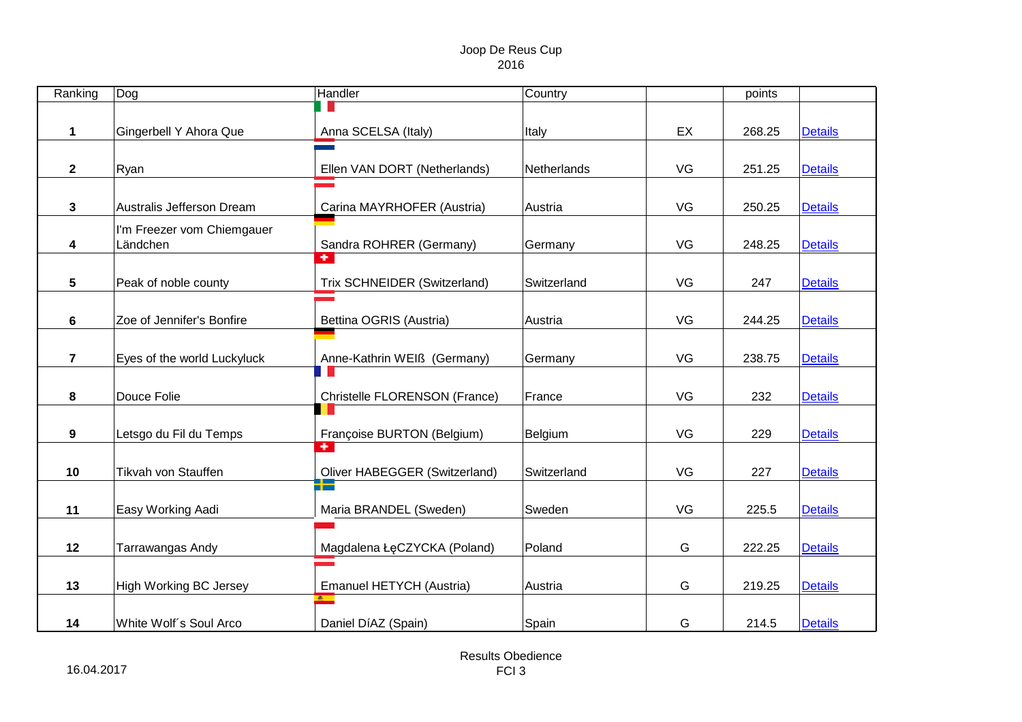| Ranking                 | Dog                           | Handler                              | Country     |    | points |                |
|-------------------------|-------------------------------|--------------------------------------|-------------|----|--------|----------------|
|                         |                               |                                      |             |    |        |                |
| 1                       | Gingerbell Y Ahora Que        | Anna SCELSA (Italy)                  | Italy       | EX | 268.25 | <b>Details</b> |
|                         |                               |                                      |             |    |        |                |
| $\mathbf{2}$            | Ryan                          | Ellen VAN DORT (Netherlands)         | Netherlands | VG | 251.25 | <b>Details</b> |
|                         |                               |                                      |             |    |        |                |
| 3                       | Australis Jefferson Dream     | Carina MAYRHOFER (Austria)           | Austria     | VG | 250.25 | <b>Details</b> |
|                         | I'm Freezer vom Chiemgauer    |                                      |             |    |        |                |
| 4                       | Ländchen                      | Sandra ROHRER (Germany)              | Germany     | VG | 248.25 | <b>Details</b> |
|                         |                               | $\bullet$ 1                          |             |    |        |                |
| 5                       | Peak of noble county          | Trix SCHNEIDER (Switzerland)         | Switzerland | VG | 247    | <b>Details</b> |
|                         |                               |                                      |             |    |        |                |
| 6                       | Zoe of Jennifer's Bonfire     | Bettina OGRIS (Austria)              | Austria     | VG | 244.25 | <b>Details</b> |
|                         |                               |                                      |             |    |        |                |
| $\overline{\mathbf{7}}$ | Eyes of the world Luckyluck   | Anne-Kathrin WEIß (Germany)          | Germany     | VG | 238.75 | <b>Details</b> |
|                         |                               |                                      |             |    |        |                |
| 8                       | Douce Folie                   | Christelle FLORENSON (France)        | France      | VG | 232    | <b>Details</b> |
|                         |                               |                                      |             |    |        |                |
| 9                       | Letsgo du Fil du Temps        | Françoise BURTON (Belgium)           |             | VG | 229    |                |
|                         |                               | $\Phi^-$                             | Belgium     |    |        | <b>Details</b> |
|                         |                               |                                      |             | VG |        |                |
| 10                      | Tikvah von Stauffen           | Oliver HABEGGER (Switzerland)<br>51- | Switzerland |    | 227    | <b>Details</b> |
|                         |                               |                                      |             |    |        |                |
| 11                      | Easy Working Aadi             | Maria BRANDEL (Sweden)               | Sweden      | VG | 225.5  | <b>Details</b> |
|                         |                               |                                      |             |    |        |                |
| 12                      | Tarrawangas Andy              | Magdalena ŁęCZYCKA (Poland)          | Poland      | G  | 222.25 | <b>Details</b> |
|                         |                               |                                      |             |    |        |                |
| 13                      | <b>High Working BC Jersey</b> | Emanuel HETYCH (Austria)             | Austria     | G  | 219.25 | <b>Details</b> |
|                         |                               | $\overline{\phantom{a}}$             |             |    |        |                |
| 14                      | White Wolf's Soul Arco        | Daniel DíAZ (Spain)                  | Spain       | G  | 214.5  | <b>Details</b> |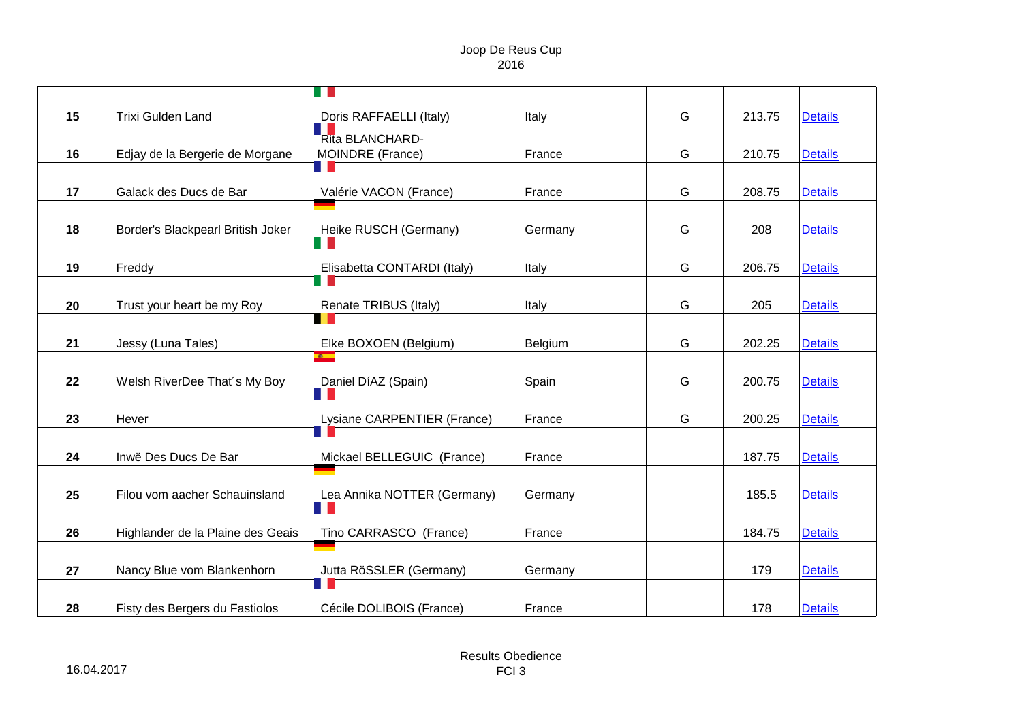| 15 | <b>Trixi Gulden Land</b>          | Doris RAFFAELLI (Italy)     | Italy   | G | 213.75 | <b>Details</b> |
|----|-----------------------------------|-----------------------------|---------|---|--------|----------------|
|    |                                   | Rita BLANCHARD-             |         |   |        |                |
| 16 | Edjay de la Bergerie de Morgane   | MOINDRE (France)            | France  | G | 210.75 | <b>Details</b> |
|    |                                   |                             |         |   |        |                |
| 17 | Galack des Ducs de Bar            | Valérie VACON (France)      | France  | G | 208.75 | <b>Details</b> |
|    |                                   |                             |         |   |        |                |
| 18 | Border's Blackpearl British Joker | Heike RUSCH (Germany)       | Germany | G | 208    | <b>Details</b> |
|    |                                   |                             |         |   |        |                |
| 19 | Freddy                            | Elisabetta CONTARDI (Italy) | Italy   | G | 206.75 | <b>Details</b> |
|    |                                   |                             |         |   |        |                |
| 20 | Trust your heart be my Roy        | Renate TRIBUS (Italy)       | Italy   | G | 205    | <b>Details</b> |
|    |                                   |                             |         |   |        |                |
| 21 | Jessy (Luna Tales)                | Elke BOXOEN (Belgium)       | Belgium | G | 202.25 | <b>Details</b> |
|    |                                   | $\overline{\phantom{a}}$    |         |   |        |                |
| 22 | Welsh RiverDee That's My Boy      | Daniel DíAZ (Spain)         | Spain   | G | 200.75 | <b>Details</b> |
|    |                                   |                             |         |   |        |                |
| 23 | Hever                             | Lysiane CARPENTIER (France) | France  | G | 200.25 | <b>Details</b> |
|    |                                   |                             |         |   |        |                |
| 24 | Inwë Des Ducs De Bar              | Mickael BELLEGUIC (France)  | France  |   | 187.75 | <b>Details</b> |
|    |                                   |                             |         |   |        |                |
| 25 | Filou vom aacher Schauinsland     | Lea Annika NOTTER (Germany) | Germany |   | 185.5  | <b>Details</b> |
|    |                                   |                             |         |   |        |                |
| 26 | Highlander de la Plaine des Geais | Tino CARRASCO (France)      | France  |   | 184.75 | <b>Details</b> |
|    |                                   |                             |         |   |        |                |
| 27 | Nancy Blue vom Blankenhorn        | Jutta RöSSLER (Germany)     | Germany |   | 179    | <b>Details</b> |
|    |                                   | H                           |         |   |        |                |
| 28 | Fisty des Bergers du Fastiolos    | Cécile DOLIBOIS (France)    | France  |   | 178    | <b>Details</b> |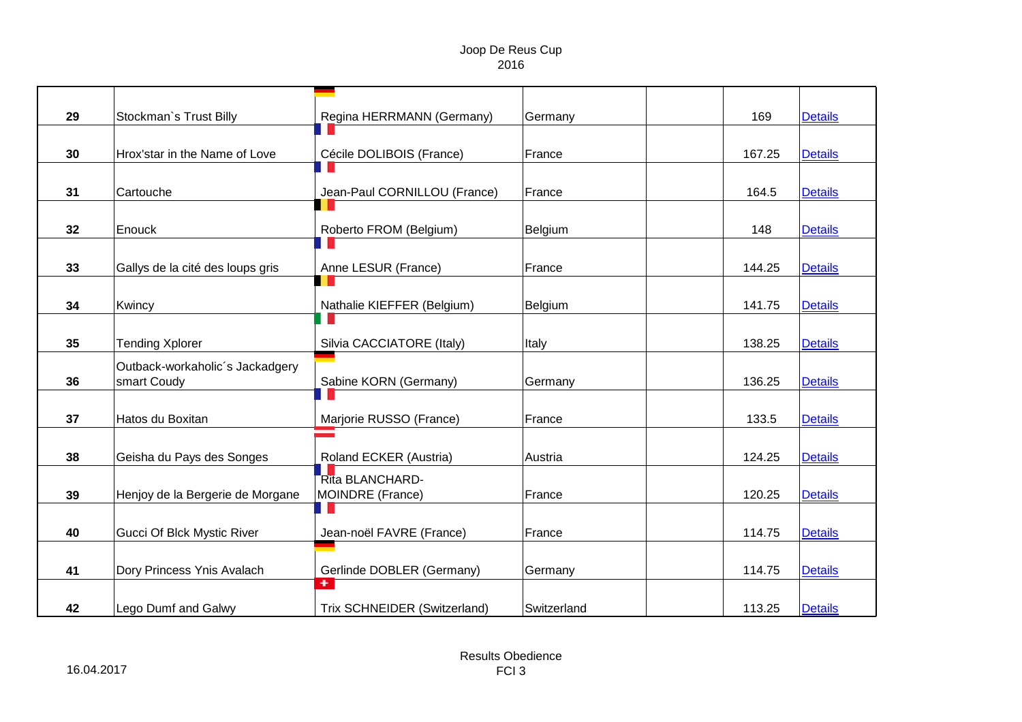| 29 | Stockman's Trust Billy           | Regina HERRMANN (Germany)    | Germany     | 169    | <b>Details</b> |
|----|----------------------------------|------------------------------|-------------|--------|----------------|
|    |                                  |                              |             |        |                |
| 30 | Hrox'star in the Name of Love    | Cécile DOLIBOIS (France)     | France      | 167.25 | <b>Details</b> |
|    |                                  |                              |             |        |                |
| 31 | Cartouche                        | Jean-Paul CORNILLOU (France) | France      | 164.5  | <b>Details</b> |
|    |                                  |                              |             |        |                |
| 32 | Enouck                           | Roberto FROM (Belgium)       | Belgium     | 148    | <b>Details</b> |
|    |                                  |                              |             |        |                |
| 33 | Gallys de la cité des loups gris | Anne LESUR (France)          | France      | 144.25 | <b>Details</b> |
|    |                                  |                              |             |        |                |
| 34 | Kwincy                           | Nathalie KIEFFER (Belgium)   | Belgium     | 141.75 | <b>Details</b> |
|    |                                  |                              |             |        |                |
| 35 | <b>Tending Xplorer</b>           | Silvia CACCIATORE (Italy)    | Italy       | 138.25 | <b>Details</b> |
|    | Outback-workaholic's Jackadgery  |                              |             |        |                |
| 36 | smart Coudy                      | Sabine KORN (Germany)        | Germany     | 136.25 | <b>Details</b> |
|    |                                  |                              |             |        |                |
| 37 | Hatos du Boxitan                 | Marjorie RUSSO (France)      | France      | 133.5  | <b>Details</b> |
|    |                                  |                              |             |        |                |
| 38 | Geisha du Pays des Songes        | Roland ECKER (Austria)       | Austria     | 124.25 | <b>Details</b> |
|    |                                  | Rita BLANCHARD-              |             |        |                |
| 39 | Henjoy de la Bergerie de Morgane | <b>MOINDRE (France)</b>      | France      | 120.25 | <b>Details</b> |
|    |                                  | a ka                         |             |        |                |
| 40 | Gucci Of Blck Mystic River       | Jean-noël FAVRE (France)     | France      | 114.75 | <b>Details</b> |
|    |                                  |                              |             |        |                |
| 41 | Dory Princess Ynis Avalach       | Gerlinde DOBLER (Germany)    | Germany     | 114.75 | <b>Details</b> |
|    |                                  | $\bullet$                    |             |        |                |
| 42 | Lego Dumf and Galwy              | Trix SCHNEIDER (Switzerland) | Switzerland | 113.25 | <b>Details</b> |